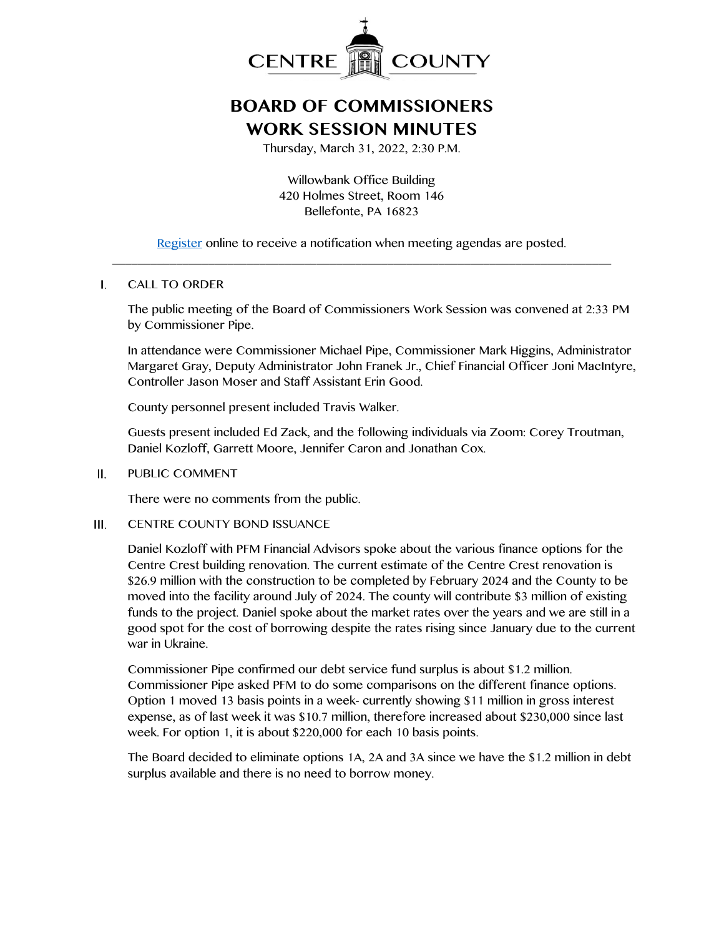

## **BOARD OF COMMISSIONERS WORK SESSION MINUTES**

Thursday, March 31, 2022, 2:30 P.M.

Willowbank Office Building 420 Holmes Street, Room 146 Bellefonte, PA 16823

[Register](http://www.centrecountypa.gov/AgendaCenter) online to receive a notification when meeting agendas are posted. \_\_\_\_\_\_\_\_\_\_\_\_\_\_\_\_\_\_\_\_\_\_\_\_\_\_\_\_\_\_\_\_\_\_\_\_\_\_\_\_\_\_\_\_\_\_\_\_\_\_\_\_\_\_\_\_\_\_\_\_\_\_\_\_\_\_\_\_\_\_\_\_\_\_\_\_\_\_

## $\mathbf{L}$ CALL TO ORDER

The public meeting of the Board of Commissioners Work Session was convened at 2:33 PM by Commissioner Pipe.

In attendance were Commissioner Michael Pipe, Commissioner Mark Higgins, Administrator Margaret Gray, Deputy Administrator John Franek Jr., Chief Financial Officer Joni MacIntyre, Controller Jason Moser and Staff Assistant Erin Good.

County personnel present included Travis Walker.

Guests present included Ed Zack, and the following individuals via Zoom: Corey Troutman, Daniel Kozloff, Garrett Moore, Jennifer Caron and Jonathan Cox.

 $II.$ PUBLIC COMMENT

There were no comments from the public.

 $III.$ CENTRE COUNTY BOND ISSUANCE

> Daniel Kozloff with PFM Financial Advisors spoke about the various finance options for the Centre Crest building renovation. The current estimate of the Centre Crest renovation is \$26.9 million with the construction to be completed by February 2024 and the County to be moved into the facility around July of 2024. The county will contribute \$3 million of existing funds to the project. Daniel spoke about the market rates over the years and we are still in a good spot for the cost of borrowing despite the rates rising since January due to the current war in Ukraine.

Commissioner Pipe confirmed our debt service fund surplus is about \$1.2 million. Commissioner Pipe asked PFM to do some comparisons on the different finance options. Option 1 moved 13 basis points in a week- currently showing \$11 million in gross interest expense, as of last week it was \$10.7 million, therefore increased about \$230,000 since last week. For option 1, it is about \$220,000 for each 10 basis points.

The Board decided to eliminate options 1A, 2A and 3A since we have the \$1.2 million in debt surplus available and there is no need to borrow money.